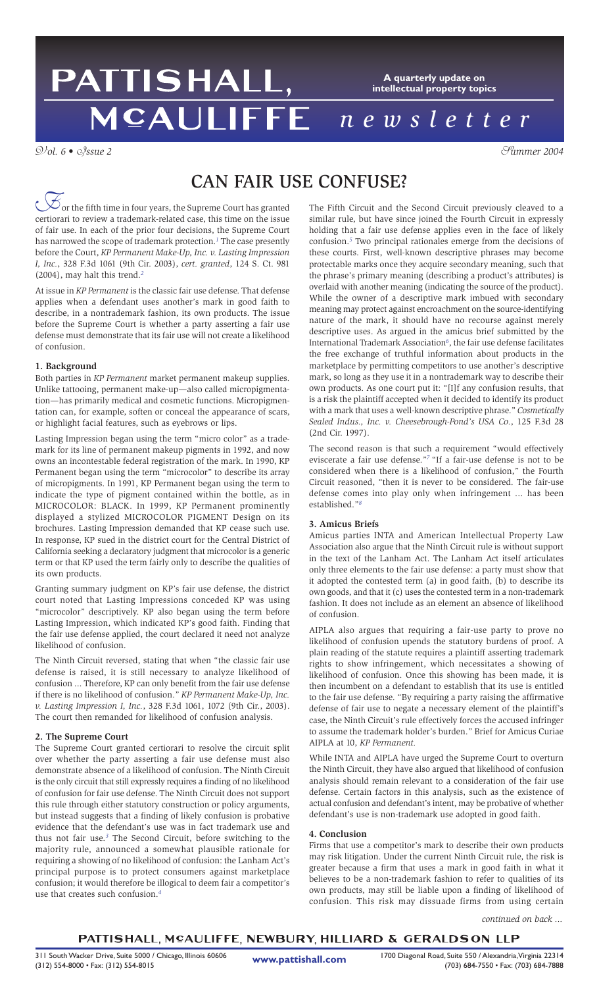# PATTISHALL, **A quarterly update on intellectual property topics MCAULIFFE** *newsletter*

V*ol. 6 •* I*ssue 2* S*ummer 2004*

# CAN FAIR USE CONFUSE?

 $\phi$  or the fifth time in four years, the Supreme Court has granted  $\mathcal{\overline{C}}$  or the fifth time in four years, the Supreme Court has granted<br>certiorari to review a trademark-related case, this time on the issue of fair use. In each of the prior four decisions, the Supreme Court has narrowed the scope of trademark protection.*<sup>1</sup>* The case presently before the Court, *KP Permanent Make-Up, Inc. v. Lasting Impression I, Inc.*, 328 F.3d 1061 (9th Cir. 2003), *cert. granted*, 124 S. Ct. 981 (2004), may halt this trend.*<sup>2</sup>*

At issue in *KP Permanent* is the classic fair use defense. That defense applies when a defendant uses another's mark in good faith to describe, in a nontrademark fashion, its own products. The issue before the Supreme Court is whether a party asserting a fair use defense must demonstrate that its fair use will not create a likelihood of confusion.

## **1. Background**

Both parties in *KP Permanent* market permanent makeup supplies. Unlike tattooing, permanent make-up—also called micropigmentation—has primarily medical and cosmetic functions. Micropigmentation can, for example, soften or conceal the appearance of scars, or highlight facial features, such as eyebrows or lips.

Lasting Impression began using the term "micro color" as a trademark for its line of permanent makeup pigments in 1992, and now owns an incontestable federal registration of the mark. In 1990, KP Permanent began using the term "microcolor" to describe its array of micropigments. In 1991, KP Permanent began using the term to indicate the type of pigment contained within the bottle, as in MICROCOLOR: BLACK. In 1999, KP Permanent prominently displayed a stylized MICROCOLOR PIGMENT Design on its brochures. Lasting Impression demanded that KP cease such use. In response, KP sued in the district court for the Central District of California seeking a declaratory judgment that microcolor is a generic term or that KP used the term fairly only to describe the qualities of its own products.

Granting summary judgment on KP's fair use defense, the district court noted that Lasting Impressions conceded KP was using "microcolor" descriptively. KP also began using the term before Lasting Impression, which indicated KP's good faith. Finding that the fair use defense applied, the court declared it need not analyze likelihood of confusion.

The Ninth Circuit reversed, stating that when "the classic fair use defense is raised, it is still necessary to analyze likelihood of confusion ... Therefore, KP can only benefit from the fair use defense if there is no likelihood of confusion." *KP Permanent Make-Up, Inc. v. Lasting Impression I, Inc.*, 328 F.3d 1061, 1072 (9th Cir., 2003). The court then remanded for likelihood of confusion analysis.

## **2. The Supreme Court**

The Supreme Court granted certiorari to resolve the circuit split over whether the party asserting a fair use defense must also demonstrate absence of a likelihood of confusion. The Ninth Circuit is the only circuit that still expressly requires a finding of no likelihood of confusion for fair use defense. The Ninth Circuit does not support this rule through either statutory construction or policy arguments, but instead suggests that a finding of likely confusion is probative evidence that the defendant's use was in fact trademark use and thus not fair use.*<sup>3</sup>* The Second Circuit, before switching to the majority rule, announced a somewhat plausible rationale for requiring a showing of no likelihood of confusion: the Lanham Act's principal purpose is to protect consumers against marketplace confusion; it would therefore be illogical to deem fair a competitor's use that creates such confusion.*<sup>4</sup>*

The Fifth Circuit and the Second Circuit previously cleaved to a similar rule, but have since joined the Fourth Circuit in expressly holding that a fair use defense applies even in the face of likely confusion.*<sup>5</sup>* Two principal rationales emerge from the decisions of these courts. First, well-known descriptive phrases may become protectable marks once they acquire secondary meaning, such that the phrase's primary meaning (describing a product's attributes) is overlaid with another meaning (indicating the source of the product). While the owner of a descriptive mark imbued with secondary meaning may protect against encroachment on the source-identifying nature of the mark, it should have no recourse against merely descriptive uses. As argued in the amicus brief submitted by the International Trademark Association*<sup>6</sup>*, the fair use defense facilitates the free exchange of truthful information about products in the marketplace by permitting competitors to use another's descriptive mark, so long as they use it in a nontrademark way to describe their own products. As one court put it: "[I]f any confusion results, that is a risk the plaintiff accepted when it decided to identify its product with a mark that uses a well-known descriptive phrase." *Cosmetically Sealed Indus., Inc. v. Cheesebrough-Pond's USA Co.*, 125 F.3d 28 (2nd Cir. 1997).

The second reason is that such a requirement "would effectively eviscerate a fair use defense."*<sup>7</sup>*"If a fair-use defense is not to be considered when there is a likelihood of confusion," the Fourth Circuit reasoned, "then it is never to be considered. The fair-use defense comes into play only when infringement ... has been established."*<sup>8</sup>*

### **3. Amicus Briefs**

Amicus parties INTA and American Intellectual Property Law Association also argue that the Ninth Circuit rule is without support in the text of the Lanham Act. The Lanham Act itself articulates only three elements to the fair use defense: a party must show that it adopted the contested term (a) in good faith, (b) to describe its own goods, and that it (c) uses the contested term in a non-trademark fashion. It does not include as an element an absence of likelihood of confusion.

AIPLA also argues that requiring a fair-use party to prove no likelihood of confusion upends the statutory burdens of proof. A plain reading of the statute requires a plaintiff asserting trademark rights to show infringement, which necessitates a showing of likelihood of confusion. Once this showing has been made, it is then incumbent on a defendant to establish that its use is entitled to the fair use defense. "By requiring a party raising the affirmative defense of fair use to negate a necessary element of the plaintiff's case, the Ninth Circuit's rule effectively forces the accused infringer to assume the trademark holder's burden." Brief for Amicus Curiae AIPLA at 10, *KP Permanent.*

While INTA and AIPLA have urged the Supreme Court to overturn the Ninth Circuit, they have also argued that likelihood of confusion analysis should remain relevant to a consideration of the fair use defense. Certain factors in this analysis, such as the existence of actual confusion and defendant's intent, may be probative of whether defendant's use is non-trademark use adopted in good faith.

### **4. Conclusion**

Firms that use a competitor's mark to describe their own products may risk litigation. Under the current Ninth Circuit rule, the risk is greater because a firm that uses a mark in good faith in what it believes to be a non-trademark fashion to refer to qualities of its own products, may still be liable upon a finding of likelihood of confusion. This risk may dissuade firms from using certain

*continued on back ...*

# PATTISHALL, MCAULIFFE, NEWBURY, HILLIARD & GERALDSON LLP

**www.pattishall.com**